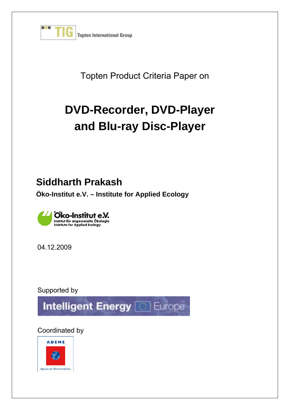

Topten Product Criteria Paper on

# **DVD-Recorder, DVD-Player and Blu-ray Disc-Player**

# **Siddharth Prakash**

**Öko-Institut e.V. – Institute for Applied Ecology** 



04.12.2009

Supported by



Coordinated by

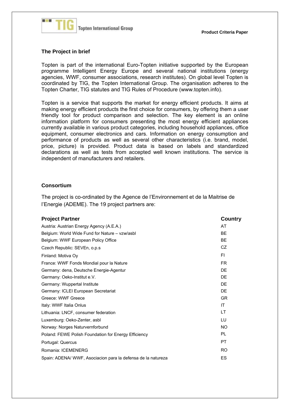

#### **The Project in brief**

Topten is part of the international Euro-Topten initiative supported by the European programme Intelligent Energy Europe and several national institutions (energy agencies, WWF, consumer associations, research institutes). On global level Topten is coordinated by TIG, the Topten International Group. The organisation adheres to the Topten Charter, TIG statutes and TIG Rules of Procedure (www.topten.info).

Topten is a service that supports the market for energy efficient products. It aims at making energy efficient products the first choice for consumers, by offering them a user friendly tool for product comparison and selection. The key element is an online information platform for consumers presenting the most energy efficient appliances currently available in various product categories, including household appliances, office equipment, consumer electronics and cars. Information on energy consumption and performance of products as well as several other characteristics (i.e. brand, model, price, picture) is provided. Product data is based on labels and standardized declarations as well as tests from accepted well known institutions. The service is independent of manufacturers and retailers.

#### **Consortium**

The project is co-ordinated by the Agence de l'Environnement et de la Maitrise de l'Energie (ADEME). The 19 project partners are:

| <b>Project Partner</b>                                      | Country   |
|-------------------------------------------------------------|-----------|
| Austria: Austrian Energy Agency (A.E.A.)                    | AT        |
| Belgium: World Wide Fund for Nature - vzw/asbl              | <b>BE</b> |
| Belgium: WWF European Policy Office                         | <b>BE</b> |
| Czech Republic: SEVEn, o.p.s.                               | CZ        |
| Finland: Motiva Oy                                          | FI.       |
| France: WWF Fonds Mondial pour la Nature                    | FR.       |
| Germany: dena, Deutsche Energie-Agentur                     | DF        |
| Germany: Oeko-Institut e.V.                                 | DF        |
| Germany: Wuppertal Institute                                | DE        |
| Germany: ICLEI European Secretariat                         | DE        |
| Greece: WWF Greece                                          | <b>GR</b> |
| Italy: WWF Italia Onlus                                     | IT        |
| Lithuania: LNCF, consumer federation                        | LT        |
| Luxemburg: Oeko-Zenter, asbl                                | ТU        |
| Norway: Norges Naturvernforbund                             | <b>NO</b> |
| Poland: FEWE Polish Foundation for Energy Efficiency        | PL        |
| Portugal: Quercus                                           | PT        |
| Romania: ICEMENERG                                          | <b>RO</b> |
| Spain: ADENA/WWF, Asociacion para la defensa de la natureza | ES        |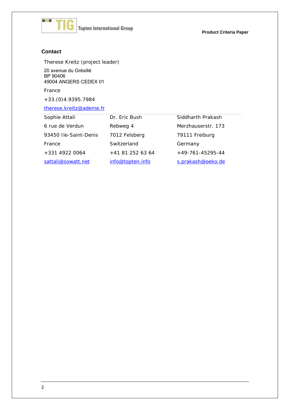

**Product Criteria Paper**

#### **Contact**

Therese Kreitz (project leader) 20 avenue du Grésillé BP 90406 49004 ANGERS CEDEX 01

France

+33.(0)4.9395.7984

#### therese.kreitz@ademe.fr

| Sophie Attali         | Dr. Eric Bush    | Siddharth Prakash  |
|-----------------------|------------------|--------------------|
| 6 rue de Verdun       | Rebweg 4         | Merzhauserstr. 173 |
| 93450 Ile-Saint-Denis | 7012 Felsberg    | 79111 Freiburg     |
| France                | Switzerland      | Germany            |
| +331 4922 0064        | +41 81 252 63 64 | $+49-761-45295-44$ |
| sattali@sowatt.net    | info@topten.info | s.prakash@oeko.de  |
|                       |                  |                    |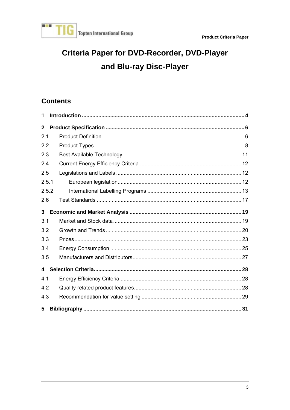

# Criteria Paper for DVD-Recorder, DVD-Player and Blu-ray Disc-Player

# **Contents**

| 1                       |  |
|-------------------------|--|
| $\mathbf{2}$            |  |
| 2.1                     |  |
| 2.2                     |  |
| 2.3                     |  |
| 2.4                     |  |
| 2.5                     |  |
| 2.5.1                   |  |
| 2.5.2                   |  |
| 2.6                     |  |
| 3                       |  |
| 3.1                     |  |
| 3.2                     |  |
| 3.3                     |  |
| 3.4                     |  |
| 3.5                     |  |
| $\overline{\mathbf{4}}$ |  |
| 4.1                     |  |
| 4.2                     |  |
| 4.3                     |  |
| 5                       |  |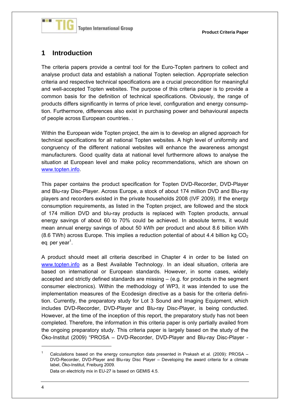

### **1 Introduction**

The criteria papers provide a central tool for the Euro-Topten partners to collect and analyse product data and establish a national Topten selection. Appropriate selection criteria and respective technical specifications are a crucial precondition for meaningful and well-accepted Topten websites. The purpose of this criteria paper is to provide a common basis for the definition of technical specifications. Obviously, the range of products differs significantly in terms of price level, configuration and energy consumption. Furthermore, differences also exist in purchasing power and behavioural aspects of people across European countries. .

Within the European wide Topten project, the aim is to develop an aligned approach for technical specifications for all national Topten websites. A high level of uniformity and congruency of the different national websites will enhance the awareness amongst manufacturers. Good quality data at national level furthermore allows to analyse the situation at European level and make policy recommendations, which are shown on www.topten.info.

This paper contains the product specification for Topten DVD-Recorder, DVD-Player and Blu-ray Disc-Player. Across Europe, a stock of about 174 million DVD and Blu-ray players and recorders existed in the private households 2008 (IVF 2009). If the energy consumption requirements, as listed in the Topten project, are followed and the stock of 174 million DVD and blu-ray products is replaced with Topten products, annual energy savings of about 60 to 70% could be achieved. In absolute terms, it would mean annual energy savings of about 50 kWh per product and about 8.6 billion kWh (8.6 TWh) across Europe. This implies a reduction potential of about 4.4 billion kg  $CO<sub>2</sub>$ eq per year<sup>1</sup>.

A product should meet all criteria described in Chapter 4 in order to be listed on www.topten.info as a Best Available Technology. In an ideal situation, criteria are based on international or European standards. However, in some cases, widely accepted and strictly defined standards are missing – (e.g. for products in the segment consumer electronics). Within the methodology of WP3, it was intended to use the implementation measures of the Ecodesign directive as a basis for the criteria definition. Currently, the preparatory study for Lot 3 Sound and Imaging Equipment, which includes DVD-Recorder, DVD-Player and Blu-ray Disc-Player, is being conducted. However, at the time of the inception of this report, the preparatory study has not been completed. Therefore, the information in this criteria paper is only partially availed from the ongoing preparatory study. This criteria paper is largely based on the study of the Öko-Institut (2009) "PROSA – DVD-Recorder, DVD-Player and Blu-ray Disc-Player -

Data on electricity mix in EU-27 is based on GEMIS 4.5.

1

<sup>1</sup> Calculations based on the energy consumption data presented in Prakash et al. (2009): PROSA – DVD-Recorder, DVD-Player and Blu-ray Disc Player – Developing the award criteria for a climate label, Öko-Institut, Freiburg 2009.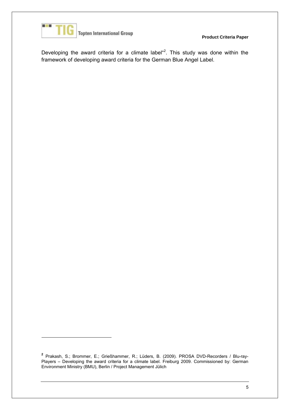

1

**Topten International Group** 

**Product Criteria Paper**

Developing the award criteria for a climate label  $42$ . This study was done within the framework of developing award criteria for the German Blue Angel Label.

**<sup>2</sup>** Prakash, S.; Brommer, E.; Grießhammer, R.; Lüders, B. (2009). PROSA DVD-Recorders / Blu-ray-Players – Developing the award criteria for a climate label. Freiburg 2009. Commissioned by: German Environment Ministry (BMU), Berlin / Project Management Jülich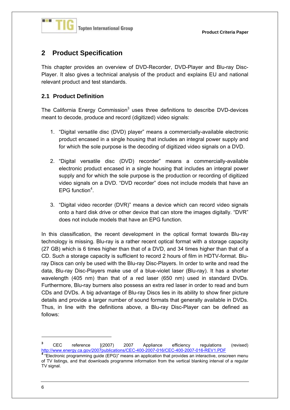

# **2 Product Specification**

This chapter provides an overview of DVD-Recorder, DVD-Player and Blu-ray Disc-Player. It also gives a technical analysis of the product and explains EU and national relevant product and test standards.

#### **2.1 Product Definition**

The California Energy Commission $3$  uses three definitions to describe DVD-devices meant to decode, produce and record (digitized) video signals:

- 1. "Digital versatile disc (DVD) player" means a commercially-available electronic product encased in a single housing that includes an integral power supply and for which the sole purpose is the decoding of digitized video signals on a DVD.
- 2. "Digital versatile disc (DVD) recorder" means a commercially-available electronic product encased in a single housing that includes an integral power supply and for which the sole purpose is the production or recording of digitized video signals on a DVD. "DVD recorder" does not include models that have an EPG function<sup>4</sup>.
- 3. "Digital video recorder (DVR)" means a device which can record video signals onto a hard disk drive or other device that can store the images digitally. "DVR" does not include models that have an EPG function.

In this classification, the recent development in the optical format towards Blu-ray technology is missing. Blu-ray is a rather recent optical format with a storage capacity (27 GB) which is 6 times higher than that of a DVD, and 34 times higher than that of a CD. Such a storage capacity is sufficient to record 2 hours of film in HDTV-format. Bluray Discs can only be used with the Blu-ray Disc-Players. In order to write and read the data, Blu-ray Disc-Players make use of a blue-violet laser (Blu-ray). It has a shorter wavelength (405 nm) than that of a red laser (650 nm) used in standard DVDs. Furthermore, Blu-ray burners also possess an extra red laser in order to read and burn CDs and DVDs. A big advantage of Blu-ray Discs lies in its ability to show finer picture details and provide a larger number of sound formats that generally available in DVDs. Thus, in line with the definitions above, a Blu-ray Disc-Player can be defined as follows:

1

**<sup>3</sup>** CEC reference [(2007) 2007 Appliance efficiency regulations (revised) http://www.energy.ca.gov/2007publications/CEC-400-2007-016/CEC-400-2007-016-REV1.PDF

**<sup>4</sup>** "Electronic programming guide (EPG)" means an application that provides an interactive, onscreen menu of TV listings, and that downloads programme information from the vertical blanking interval of a regular TV signal.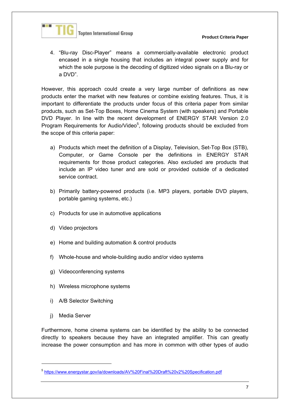

4. "Blu-ray Disc-Player" means a commercially-available electronic product encased in a single housing that includes an integral power supply and for which the sole purpose is the decoding of digitized video signals on a Blu-ray or a DVD".

However, this approach could create a very large number of definitions as new products enter the market with new features or combine existing features. Thus, it is important to differentiate the products under focus of this criteria paper from similar products, such as Set-Top Boxes, Home Cinema System (with speakers) and Portable DVD Player. In line with the recent development of ENERGY STAR Version 2.0 Program Requirements for Audio/Video<sup>5</sup>, following products should be excluded from the scope of this criteria paper:

- a) Products which meet the definition of a Display, Television, Set-Top Box (STB), Computer, or Game Console per the definitions in ENERGY STAR requirements for those product categories. Also excluded are products that include an IP video tuner and are sold or provided outside of a dedicated service contract
- b) Primarily battery-powered products (i.e. MP3 players, portable DVD players, portable gaming systems, etc.)
- c) Products for use in automotive applications
- d) Video projectors
- e) Home and building automation & control products
- f) Whole-house and whole-building audio and/or video systems
- g) Videoconferencing systems
- h) Wireless microphone systems
- i) A/B Selector Switching
- j) Media Server

-

Furthermore, home cinema systems can be identified by the ability to be connected directly to speakers because they have an integrated amplifier. This can greatly increase the power consumption and has more in common with other types of audio

<sup>5</sup> https://www.energystar.gov/ia/downloads/AV%20Final%20Draft%20v2%20Specification.pdf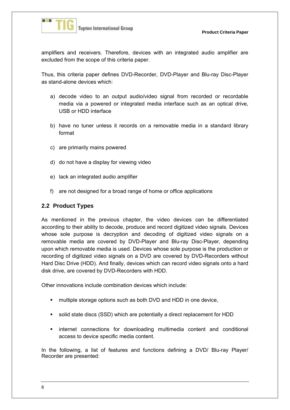

amplifiers and receivers. Therefore, devices with an integrated audio amplifier are excluded from the scope of this criteria paper.

Thus, this criteria paper defines DVD-Recorder, DVD-Player and Blu-ray Disc-Player as stand-alone devices which:

- a) decode video to an output audio/video signal from recorded or recordable media via a powered or integrated media interface such as an optical drive, USB or HDD interface
- b) have no tuner unless it records on a removable media in a standard library format
- c) are primarily mains powered
- d) do not have a display for viewing video
- e) lack an integrated audio amplifier
- f) are not designed for a broad range of home or office applications

#### **2.2 Product Types**

As mentioned in the previous chapter, the video devices can be differentiated according to their ability to decode, produce and record digitized video signals. Devices whose sole purpose is decryption and decoding of digitized video signals on a removable media are covered by DVD-Player and Blu-ray Disc-Player, depending upon which removable media is used. Devices whose sole purpose is the production or recording of digitized video signals on a DVD are covered by DVD-Recorders without Hard Disc Drive (HDD). And finally, devices which can record video signals onto a hard disk drive, are covered by DVD-Recorders with HDD.

Other innovations include combination devices which include:

- **F** multiple storage options such as both DVD and HDD in one device,
- solid state discs (SSD) which are potentially a direct replacement for HDD
- internet connections for downloading multimedia content and conditional access to device specific media content.

In the following, a list of features and functions defining a DVD/ Blu-ray Player/ Recorder are presented: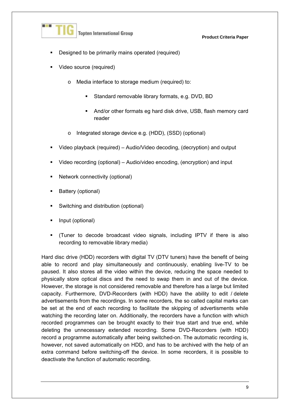

- Designed to be primarily mains operated (required)
- Video source (required)
	- o Media interface to storage medium (required) to:
		- Standard removable library formats, e.g. DVD, BD
		- And/or other formats eg hard disk drive, USB, flash memory card reader
	- o Integrated storage device e.g. (HDD), (SSD) (optional)
- Video playback (required) Audio/Video decoding, (decryption) and output
- Video recording (optional) Audio/video encoding, (encryption) and input
- Network connectivity (optional)
- Battery (optional)
- Switching and distribution (optional)
- Input (optional)
- (Tuner to decode broadcast video signals, including IPTV if there is also recording to removable library media)

Hard disc drive (HDD) recorders with digital TV (DTV tuners) have the benefit of being able to record and play simultaneously and continuously, enabling live-TV to be paused. It also stores all the video within the device, reducing the space needed to physically store optical discs and the need to swap them in and out of the device. However, the storage is not considered removable and therefore has a large but limited capacity. Furthermore, DVD-Recorders (with HDD) have the ability to edit / delete advertisements from the recordings. In some recorders, the so called capital marks can be set at the end of each recording to facilitate the skipping of advertisments while watching the recording later on. Additionally, the recorders have a function with which recorded programmes can be brought exactly to their true start and true end, while deleting the unnecessary extended recording. Some DVD-Recorders (with HDD) record a programme automatically after being switched-on. The automatic recording is, however, not saved automatically on HDD, and has to be archived with the help of an extra command before switching-off the device. In some recorders, it is possible to deactivate the function of automatic recording.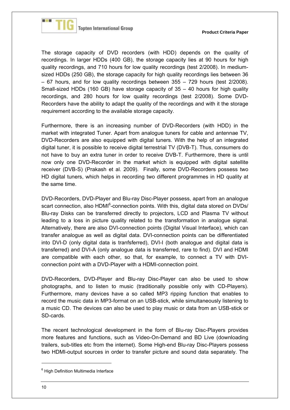

The storage capacity of DVD recorders (with HDD) depends on the quality of recordings. In larger HDDs (400 GB), the storage capacity lies at 90 hours for high quality recordings, and 710 hours for low quality recordings (test 2/2008). In mediumsized HDDs (250 GB), the storage capacity for high quality recordings lies between 36 – 67 hours, and for low quality recordings between 355 – 729 hours (test 2/2008). Small-sized HDDs (160 GB) have storage capacity of 35 – 40 hours for high quality recordings, and 280 hours for low quality recordings (test 2/2008). Some DVD-Recorders have the ability to adapt the quality of the recordings and with it the storage requirement according to the available storage capacity.

Furthermore, there is an increasing number of DVD-Recorders (with HDD) in the market with integrated Tuner. Apart from analogue tuners for cable and antennae TV, DVD-Recorders are also equipped with digital tuners. With the help of an integrated digital tuner, it is possible to receive digital terrestrial TV (DVB-T). Thus, consumers do not have to buy an extra tuner in order to receive DVB-T. Furthermore, there is until now only one DVD-Recorder in the market which is equipped with digital satellite receiver (DVB-S) (Prakash et al. 2009). Finally, some DVD-Recorders possess two HD digital tuners, which helps in recording two different programmes in HD quality at the same time.

DVD-Recorders, DVD-Player and Blu-ray Disc-Player possess, apart from an analogue scart connection, also HDMI<sup>6</sup>-connection points. With this, digital data stored on DVDs/ Blu-ray Disks can be transferred directly to projectors, LCD and Plasma TV without leading to a loss in picture quality related to the transformation in analogue signal. Alternatively, there are also DVI-connection points (Digital Visual Interface), which can transfer analogue as well as digital data. DVI-connection points can be differentiated into DVI-D (only digital data is tranfsferred), DVI-I (both analogue and digital data is transferred) and DVI-A (only analogue data is transferred, rare to find). DVI and HDMI are compatible with each other, so that, for example, to connect a TV with DVIconnection point with a DVD-Player with a HDMI-connection point.

DVD-Recorders, DVD-Player and Blu-ray Disc-Player can also be used to show photographs, and to listen to music (traditionally possible only with CD-Players). Furthermore, many devices have a so called MP3 ripping function that enables to record the music data in MP3-format on an USB-stick, while simultaneously listening to a music CD. The devices can also be used to play music or data from an USB-stick or SD-cards.

The recent technological development in the form of Blu-ray Disc-Players provides more features and functions, such as Video-On-Demand and BD Live (downloading trailers, sub-titles etc from the internet). Some High-end Blu-ray Disc-Players possess two HDMI-output sources in order to transfer picture and sound data separately. The

1

<sup>&</sup>lt;sup>6</sup> High Definition Multimedia Interface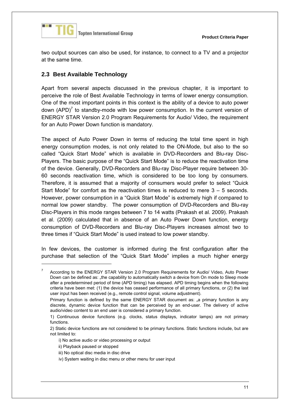

two output sources can also be used, for instance, to connect to a TV and a projector at the same time.

#### **2.3 Best Available Technology**

Apart from several aspects discussed in the previous chapter, it is important to perceive the role of Best Available Technology in terms of lower energy consumption. One of the most important points in this context is the ability of a device to auto power down  $(APD)^7$  to standby-mode with low power consumption. In the current version of ENERGY STAR Version 2.0 Program Requirements for Audio/ Video, the requirement for an Auto Power Down function is mandatory.

The aspect of Auto Power Down in terms of reducing the total time spent in high energy consumption modes, is not only related to the ON-Mode, but also to the so called "Quick Start Mode" which is available in DVD-Recorders and Blu-ray Disc-Players. The basic purpose of the "Quick Start Mode" is to reduce the reactivation time of the device. Generally, DVD-Recorders and Blu-ray Disc-Player require between 30- 60 seconds reactivation time, which is considered to be too long by consumers. Therefore, it is assumed that a majority of consumers would prefer to select "Quick Start Mode" for comfort as the reactivation times is reduced to mere  $3 - 5$  seconds. However, power consumption in a "Quick Start Mode" is extremely high if compared to normal low power standby. The power consumption of DVD-Recorders and Blu-ray Disc-Players in this mode ranges between 7 to 14 watts (Prakash et al. 2009). Prakash et al. (2009) calculated that in absence of an Auto Power Down function, energy consumption of DVD-Recorders and Blu-ray Disc-Players increases almost two to three times if "Quick Start Mode" is used instead to low power standby.

In few devices, the customer is informed during the first configuration after the purchase that selection of the "Quick Start Mode" implies a much higher energy

1

<sup>7</sup> According to the ENERGY STAR Version 2.0 Program Requirements for Audio/ Video, Auto Power Down can be defined as: "the capability to automatically switch a device from On mode to Sleep mode after a predetermined period of time (APD timing) has elapsed. APD timing begins when the following criteria have been met: (1) the device has ceased performance of all primary functions, or (2) the last user input has been received (e.g., remote control signal, volume adjustment).

Primary function is defined by the same ENERGY STAR document as: "a primary function is any discrete, dynamic device function that can be perceived by an end-user. The delivery of active audio/video content to an end user is considered a primary function.

 <sup>1)</sup> Continuous device functions (e.g. clocks, status displays, indicator lamps) are not primary functions.

 <sup>2)</sup> Static device functions are not considered to be primary functions. Static functions include, but are not limited to:

i) No active audio or video processing or output

ii) Playback paused or stopped

iii) No optical disc media in disc drive

iv) System waiting in disc menu or other menu for user input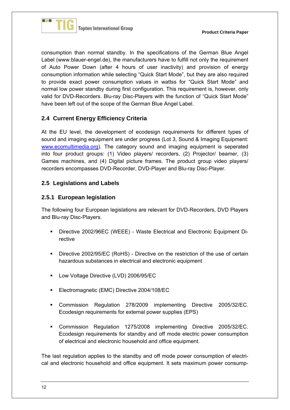

consumption than normal standby. In the specifications of the German Blue Angel Label (www.blauer-engel.de), the manufacturers have to fulfill not only the requirement of Auto Power Down (after 4 hours of user inactivity) and provision of energy consumption information while selecting "Quick Start Mode", but they are also required to provide exact power consumption values in wattss for "Quick Start Mode" and normal low power standby during first configuration. This requirement is, however, only valid for DVD-Recorders. Blu-ray Disc-Players with the function of "Quick Start Mode" have been left out of the scope of the German Blue Angel Label.

#### **2.4 Current Energy Efficiency Criteria**

At the EU level, the development of ecodesign requirements for different types of sound and imaging equipment are under progress (Lot 3, Sound & Imaging Equipment: www.ecomultimedia.org). The category sound and imaging equipment is seperated into four product groups: (1) Video players/ recorders, (2) Projector/ beamer, (3) Games machines, and (4) Digital picture frames. The product group video players/ recorders encompasses DVD-Recorder, DVD-Player and Blu-ray Disc-Player.

#### **2.5 Legislations and Labels**

#### **2.5.1 European legislation**

The following four European legislations are relevant for DVD-Recorders, DVD Players and Blu-ray Disc-Players.

- Directive 2002/96EC (WEEE) Waste Electrical and Electronic Equipment Directive
- **Directive 2002/95/EC (RoHS) Directive on the restriction of the use of certain** hazardous substances in electrical and electronic equipment
- **Low Voltage Directive (LVD) 2006/95/EC**
- **Electromagnetic (EMC) Directive 2004/108/EC**
- Commission Regulation 278/2009 implementing Directive 2005/32/EC. Ecodesign requirements for external power supplies (EPS)
- Commission Regulation 1275/2008 implementing Directive 2005/32/EC. Ecodesign requirements for standby and off mode electric power consumption of electrical and electronic household and office equipment.

The last regulation applies to the standby and off mode power consumption of electrical and electronic household and office equipment. It sets maximum power consump-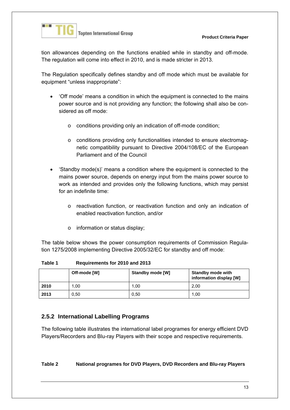

tion allowances depending on the functions enabled while in standby and off-mode. The regulation will come into effect in 2010, and is made stricter in 2013.

The Regulation specifically defines standby and off mode which must be available for equipment "unless inappropriate":

- 'Off mode' means a condition in which the equipment is connected to the mains power source and is not providing any function; the following shall also be considered as off mode:
	- o conditions providing only an indication of off-mode condition;
	- o conditions providing only functionalities intended to ensure electromagnetic compatibility pursuant to Directive 2004/108/EC of the European Parliament and of the Council
- 'Standby mode(s)' means a condition where the equipment is connected to the mains power source, depends on energy input from the mains power source to work as intended and provides only the following functions, which may persist for an indefinite time:
	- o reactivation function, or reactivation function and only an indication of enabled reactivation function, and/or
	- o information or status display;

The table below shows the power consumption requirements of Commission Regulation 1275/2008 implementing Directive 2005/32/EC for standby and off mode:

**Table 1 Requirements for 2010 and 2013** 

|      | Off-mode [W] | Standby mode [W] | <b>Standby mode with</b><br>information display [W] |
|------|--------------|------------------|-----------------------------------------------------|
| 2010 | 1.00         | 1.00             | 2.00                                                |
| 2013 | 0.50         | 0.50             | 1.00                                                |

#### **2.5.2 International Labelling Programs**

The following table illustrates the international label programes for energy efficient DVD Players/Recorders and Blu-ray Players with their scope and respective requirements.

#### **Table 2 National programes for DVD Players, DVD Recorders and Blu-ray Players**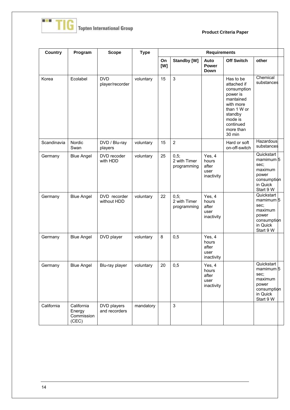

| <b>Country</b> | Program                                     | <b>Scope</b>                  | <b>Type</b> | <b>Requirements</b> |                                     |                                                |                                                                                                                                                        |                                                                                                        |
|----------------|---------------------------------------------|-------------------------------|-------------|---------------------|-------------------------------------|------------------------------------------------|--------------------------------------------------------------------------------------------------------------------------------------------------------|--------------------------------------------------------------------------------------------------------|
|                |                                             |                               |             | On<br>[W]           | Standby [W]                         | Auto<br><b>Power</b><br>Down                   | <b>Off Switch</b>                                                                                                                                      | other                                                                                                  |
| Korea          | Ecolabel                                    | <b>DVD</b><br>player/recorder | voluntary   | 15                  | 3                                   |                                                | Has to be<br>attached if<br>consumption<br>power is<br>mantained<br>with more<br>than 1 W or<br>standby<br>mode is<br>continued<br>more than<br>30 min | Chemical<br>substances                                                                                 |
| Scandinavia    | Nordic<br>Swan                              | DVD / Blu-ray<br>players      | voluntary   | 15                  | $\overline{2}$                      |                                                | Hard or soft<br>on-off-switch                                                                                                                          | Hazardous<br>substances                                                                                |
| Germany        | <b>Blue Angel</b>                           | DVD recoder<br>with HDD       | voluntary   | 25                  | 0,5;<br>2 with Timer<br>programming | Yes, 4<br>hours<br>after<br>user<br>inactivity |                                                                                                                                                        | Quickstart<br>mamimum <sub>5</sub><br>sec;<br>maximum<br>power<br>consumption<br>in Quick<br>Start 9 W |
| Germany        | <b>Blue Angel</b>                           | DVD recorder<br>without HDD   | voluntary   | 22                  | 0,5;<br>2 with Timer<br>programming | Yes, 4<br>hours<br>after<br>user<br>inactivity |                                                                                                                                                        | Quickstart<br>mamimum 5<br>sec;<br>maximum<br>power<br>consumption<br>in Quick<br>Start 9 W            |
| Germany        | <b>Blue Angel</b>                           | DVD player                    | voluntary   | 8                   | 0,5                                 | Yes, 4<br>hours<br>after<br>user<br>inactivity |                                                                                                                                                        |                                                                                                        |
| Germany        | <b>Blue Angel</b>                           | Blu-ray player                | voluntary   | 20                  | 0,5                                 | Yes, 4<br>hours<br>after<br>user<br>inactivity |                                                                                                                                                        | Quickstart<br>mamimum 5<br>sec:<br>maximum<br>power<br>consumption<br>in Quick<br>Start 9 W            |
| California     | California<br>Energy<br>Commission<br>(CEC) | DVD players<br>and recorders  | mandatory   |                     | 3                                   |                                                |                                                                                                                                                        |                                                                                                        |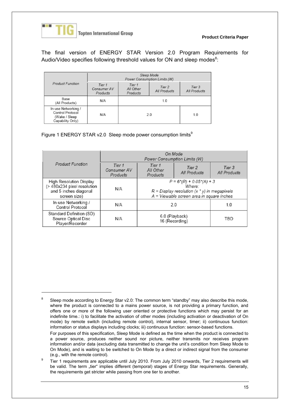

-

The final version of ENERGY STAR Version 2.0 Program Requirements for Audio/Video specifies following threshold values for ON and sleep modes $8$ :

|                                                                              | Sleep Mode<br>Power Consumption Limits (W) |                                 |                        |                        |
|------------------------------------------------------------------------------|--------------------------------------------|---------------------------------|------------------------|------------------------|
| <b>Product Function</b>                                                      | Tier 1<br>Consumer AV<br>Products          | Tier 1<br>All Other<br>Products | Tier 2<br>All Products | Tier 3<br>All Products |
| Base<br>(All Products)                                                       | N/A                                        | 1.0                             |                        |                        |
| In-use Networking /<br>Control Protocol<br>(Wake / Sleep<br>Capability Only) | N/A                                        | 2.0                             |                        | 1.0                    |

Figure 1 ENERGY STAR v2.0 Sleep mode power consumption limits<sup>9</sup>

|                                                                                                 | On Mode<br>Power Consumption Limits (W) |                                                                                                                                       |                        |                        |
|-------------------------------------------------------------------------------------------------|-----------------------------------------|---------------------------------------------------------------------------------------------------------------------------------------|------------------------|------------------------|
| <b>Product Function</b>                                                                         | Tier 1<br>Consumer AV<br>Products       | Tier 1<br>All Other<br>Products                                                                                                       | Tier 2<br>All Products | Tier 3<br>All Products |
| High Resolution Display<br>(> 480x234 pixel resolution<br>and 5 inches diagonal<br>screen size) | N/A                                     | $P = 6*(R) + 0.05*(A) + 3$<br>Where:<br>$R =$ Display resolution $(x * y)$ in megapixels<br>A = Viewable screen area in square inches |                        |                        |
| In-use Networking /<br>Control Protocol                                                         | N/A                                     | 2.0<br>1.0                                                                                                                            |                        |                        |
| Standard Definition (SD)<br>Source Optical Disc<br>Player/Recorder                              | N/A                                     | 6.0 (Playback)<br>TBD<br>16 (Recording)                                                                                               |                        |                        |

<sup>8</sup> Sleep mode according to Energy Star v2.0: The common term "standby" may also describe this mode, where the product is connected to a mains power source, is not providing a primary function, and offers one or more of the following user oriented or protective functions which may persist for an indefinite time.: i) to facilitate the activation of other modes (including activation or deactivation of On mode) by remote switch (including remote control), internal sensor, timer; ii) continuous function: information or status displays including clocks; iii) continuous function: sensor-based functions.

For purposes of this specification, Sleep Mode is defined as the time when the product is connected to a power source, produces neither sound nor picture, neither transmits nor receives program information and/or data (excluding data transmitted to change the unit's condition from Sleep Mode to On Mode), and is waiting to be switched to On Mode by a direct or indirect signal from the consumer (e.g., with the remote control).

Tier 1 requirements are applicable until July 2010. From July 2010 onwards, Tier 2 requirements will be valid. The term "tier" implies different (temporal) stages of Energy Star requirements. Generally, the requirements get stricter while passing from one tier to another.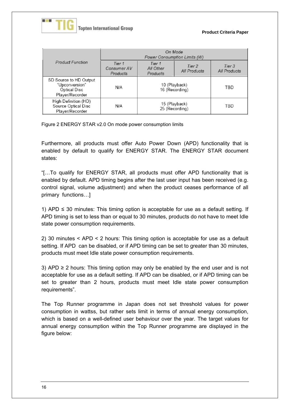

|                                                                             | On Mode<br>Power Consumption Limits (W) |                                 |                        |                        |
|-----------------------------------------------------------------------------|-----------------------------------------|---------------------------------|------------------------|------------------------|
| Product Function                                                            | Tier 1<br>Consumer AV<br>Products       | Tier 1<br>All Other<br>Products | Tier 2<br>All Products | Tier 3<br>All Products |
| SD Source to HD Output<br>"Upconversion"<br>Optical Disc<br>Player/Recorder | N/A                                     | 10 (Playback)<br>16 (Recording) |                        | TBD                    |
| High Definition (HD)<br>Source Optical Disc<br>Player/Recorder              | N/A                                     | 15 (Playback)<br>25 (Recording) |                        | TBD                    |

Figure 2 ENERGY STAR v2.0 On mode power consumption limits

Furthermore, all products must offer Auto Power Down (APD) functionality that is enabled by default to qualify for ENERGY STAR. The ENERGY STAR document states:

"[…To qualify for ENERGY STAR, all products must offer APD functionality that is enabled by default. APD timing begins after the last user input has been received (e.g. control signal, volume adjustment) and when the product ceases performance of all primary functions…]

1) APD  $\leq$  30 minutes: This timing option is acceptable for use as a default setting. If APD timing is set to less than or equal to 30 minutes, products do not have to meet Idle state power consumption requirements.

2) 30 minutes < APD < 2 hours: This timing option is acceptable for use as a default setting. If APD can be disabled, or if APD timing can be set to greater than 30 minutes, products must meet Idle state power consumption requirements.

3) APD ≥ 2 hours: This timing option may only be enabled by the end user and is not acceptable for use as a default setting. If APD can be disabled, or if APD timing can be set to greater than 2 hours, products must meet Idle state power consumption requirements".

The Top Runner programme in Japan does not set threshold values for power consumption in wattss, but rather sets limit in terms of annual energy consumption, which is based on a well-defined user behaviour over the year. The target values for annual energy consumption within the Top Runner programme are displayed in the figure below: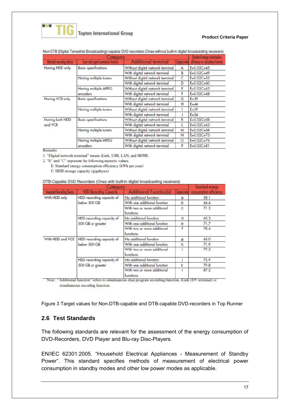

#### **Product Criteria Paper**

|                           | Standard energy consumption                     |                                             |   |                                  |
|---------------------------|-------------------------------------------------|---------------------------------------------|---|----------------------------------|
| Attoched recording device | Category<br>uner and rignal conversion function | Additional terminal<br><b>Cotegory none</b> |   | efficency or colculation formula |
| Having HDD only           | <b>Basic specifications</b>                     | Without digital network terminal            | А | $E=0.02C+45$                     |
|                           |                                                 | With digital network terminal               | в | $E=0.02C+49$                     |
|                           | Having multiple tuners                          | Without digital network terminal            | C | $E=0.02C+55$                     |
|                           |                                                 | With digital network terminal               | D | $E=0.02C+60$                     |
|                           | Having multiple MPEG                            | Without digital network terminal            | E | $E = 0.02C + 63$                 |
|                           | encoders                                        | With digital network terminal               | F | $E=0.02C+68$                     |
| Having VCR only           | <b>Basic specifications</b>                     | Without digital notwork torminal            | G | $E - 39$                         |
|                           |                                                 | With digital network terminal               | н | $E = 44$                         |
|                           | Haring multiple tuners                          | Without digital network terminal            |   | $E = 39$                         |
|                           |                                                 | With digital network terminal               |   | $E = 54$                         |
| Having both HDD           | <b>Basic specifications</b>                     | Without digital network terminal            | к | $E=0.02C+58$                     |
| and VCR                   |                                                 | With digital network terminal               |   | $E=0.02C+63$                     |
|                           | Having multiple tuners                          | Without digital network terminal            | м | $E=0.02C+68$                     |
|                           |                                                 | With digital network terminal               | N | $E=0.02C+73$                     |
|                           | Having multiple MPEG                            | Without digital network terminal            | Ō | $E=0.02C+76$                     |
|                           | encoders                                        | With digital network terminal               | p | $E=0.02C+81$                     |

#### Non-DTB [Digital Terrestrial Broadcasting]-capable DVD recorders (Ones without built-in digital broadcasting receivers)

Remarks

1. "Digital network terminal" means iLink, USB, LAN, and HDMI.

2. "E" and "C" represent the following numeric values.

E: Standard energy consumption efficiency (kWh per year) C: HDD storage capacity (gigabytes)

DTB-Capable DVD Recorders (Ones with built-in digital broadcasting receivers)

|                             | Standard energy               |                                          |               |                        |
|-----------------------------|-------------------------------|------------------------------------------|---------------|------------------------|
| Integrated Recording Device | <b>HDD Recording Capacity</b> | <b>Additional Function(s)</b>            | Cotegory none | consumption efficiency |
| With HDD only               | HDD recording capacity of     | No additional function                   | a             | 58.1                   |
|                             | below 500 GB                  | With one additional function             | b             | 64.4                   |
|                             |                               | With two or more additional<br>functions | o             | 71.2                   |
|                             | HDD recording capacity of     | No additional function                   | d             | 65.3                   |
|                             | 500 GB or greater             | With one additional function             | e             | 71.7                   |
|                             |                               | With two or more additional<br>functions |               | 78.4                   |
| With HDD and VCR            | HDD recording capacity of     | No additional function                   | Ε             | 65.0                   |
|                             | below 500 GB                  | With one additional function             | h             | 71.9                   |
|                             |                               | With two or more additional<br>functions |               | 79.3                   |
|                             | HDD recording capacity of     | No additional function                   |               | 72.9                   |
|                             | 500 GB or greater             | With one additional function             | k             | 79.8                   |
|                             |                               | With two or more additional<br>functions |               | 87.2                   |

Note: "Additional function" refers to simultaneous dual program recording function, iLink (DV terminal) or simultaneous encoding function.

Figure 3 Target values for Non-DTB-capable and DTB-capable DVD-recorders in Top Runner

#### **2.6 Test Standards**

The following standards are relevant for the assessment of the energy consumption of DVD-Recorders, DVD Player and Blu-ray Disc-Players.

EN/IEC 62301:2005. "Household Electrical Appliances - Measurement of Standby Power". This standard specifies methods of measurement of electrical power consumption in standby modes and other low power modes as applicable.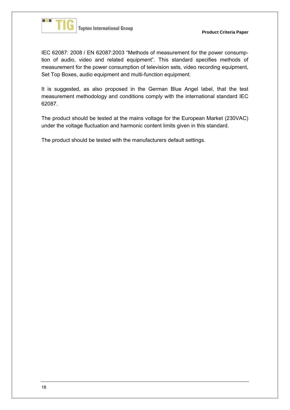

IEC 62087: 2008 / EN 62087:2003 "Methods of measurement for the power consumption of audio, video and related equipment". This standard specifies methods of measurement for the power consumption of television sets, video recording equipment, Set Top Boxes, audio equipment and multi-function equipment.

It is suggested, as also proposed in the German Blue Angel label, that the test measurement methodology and conditions comply with the international standard IEC 62087.

The product should be tested at the mains voltage for the European Market (230VAC) under the voltage fluctuation and harmonic content limits given in this standard.

The product should be tested with the manufacturers default settings.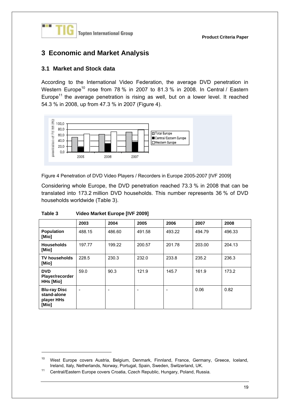

## **3 Economic and Market Analysis**

#### **3.1 Market and Stock data**

According to the International Video Federation, the average DVD penetration in Western Europe<sup>10</sup> rose from 78 % in 2007 to 81.3 % in 2008. In Central / Eastern Europe<sup>11</sup> the average penetration is rising as well, but on a lower level. It reached 54.3 % in 2008, up from 47.3 % in 2007 (Figure 4).



Figure 4 Penetration of DVD Video Players / Recorders in Europe 2005-2007 [IVF 2009]

Considering whole Europe, the DVD penetration reached 73.3 % in 2008 that can be translated into 173.2 million DVD households. This number represents 36 % of DVD households worldwide (Table 3).

|                                                           | 2003                     | 2004                     | 2005   | 2006   | 2007   | 2008   |
|-----------------------------------------------------------|--------------------------|--------------------------|--------|--------|--------|--------|
| <b>Population</b><br>[Mio]                                | 488.15                   | 486.60                   | 491.58 | 493.22 | 494.79 | 496.33 |
| <b>Households</b><br>[Mio]                                | 197.77                   | 199.22                   | 200.57 | 201.78 | 203.00 | 204.13 |
| <b>TV households</b><br>[Mio]                             | 228.5                    | 230.3                    | 232.0  | 233.8  | 235.2  | 236.3  |
| <b>DVD</b><br>Player/recorder<br><b>HHs [Mio]</b>         | 59.0                     | 90.3                     | 121.9  | 145.7  | 161.9  | 173.2  |
| <b>Blu-ray Disc</b><br>stand-alone<br>player HHs<br>[Mio] | $\overline{\phantom{a}}$ | $\overline{\phantom{a}}$ |        | -      | 0.06   | 0.82   |

#### **Table 3 Video Market Europe [IVF 2009]**

-

<sup>&</sup>lt;sup>10</sup> West Europe covers Austria, Belgium, Denmark, Finnland, France, Germany, Greece, Iceland, Ireland, Ireland, Italy, Netherlands, Norway, Portugal, Spain, Sweden, Switzerland, UK.

<sup>&</sup>lt;sup>11</sup> Central/Eastern Europe covers Croatia, Czech Republic, Hungary, Poland, Russia.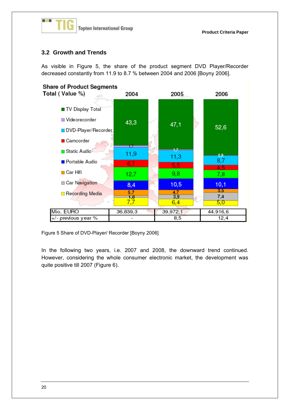

#### **3.2 Growth and Trends**

As visible in Figure 5, the share of the product segment DVD Player/Recorder decreased constantly from 11.9 to 8.7 % between 2004 and 2006 [Boyny 2006].



Figure 5 Share of DVD-Player/ Recorder [Boyny 2006]

In the following two years, i.e. 2007 and 2008, the downward trend continued. However, considering the whole consumer electronic market, the development was quite positive till 2007 (Figure 6).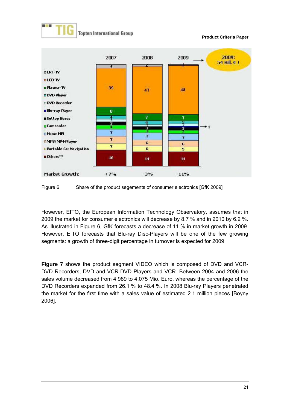

Figure 6 Share of the product segements of consumer electronics [GfK 2009]

However, EITO, the European Information Technology Observatory, assumes that in 2009 the market for consumer electronics will decrease by 8.7 % and in 2010 by 6.2 %. As illustrated in Figure 6, GfK forecasts a decrease of 11 % in market growth in 2009. However, EITO forecasts that Blu-ray Disc-Players will be one of the few growing segments: a growth of three-digit percentage in turnover is expected for 2009.

**Figure 7** shows the product segment VIDEO which is composed of DVD and VCR-DVD Recorders, DVD and VCR-DVD Players and VCR. Between 2004 and 2006 the sales volume decreased from 4.989 to 4.075 Mio. Euro, whereas the percentage of the DVD Recorders expanded from 26.1 % to 48.4 %. In 2008 Blu-ray Players penetrated the market for the first time with a sales value of estimated 2.1 million pieces [Boyny 2006].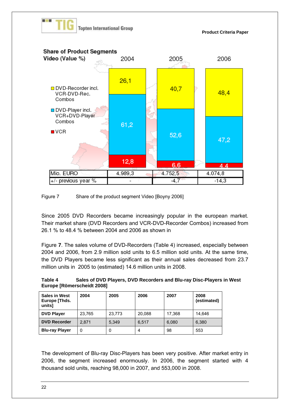



Since 2005 DVD Recorders became increasingly popular in the european market. Their market share (DVD Recorders and VCR-DVD-Recorder Combos) increased from 26.1 % to 48.4 % between 2004 and 2006 as shown in

Figure **7**. The sales volume of DVD-Recorders (Table 4) increased, especially between 2004 and 2006, from 2.9 million sold units to 6.5 million sold units. At the same time, the DVD Players became less significant as their annual sales decreased from 23.7 million units in 2005 to (estimated) 14.6 million units in 2008.

| Table 4 | Sales of DVD Players, DVD Recorders and Blu-ray Disc-Players in West |
|---------|----------------------------------------------------------------------|
|         | Europe [Römerscheidt 2008]                                           |

| <b>Sales in West</b><br>Europe [Thds.<br>units] | 2004   | 2005   | 2006   | 2007   | 2008<br>(estimated) |
|-------------------------------------------------|--------|--------|--------|--------|---------------------|
| <b>DVD Player</b>                               | 23,765 | 23,773 | 20,088 | 17.368 | 14.646              |
| <b>DVD Recorder</b>                             | 2.871  | 5.349  | 6,517  | 6,080  | 6,380               |
| <b>Blu-ray Player</b>                           | U      | 0      | 4      | 98     | 553                 |

The development of Blu-ray Disc-Players has been very positive. After market entry in 2006, the segment increased enormously. In 2006, the segment started with 4 thousand sold units, reaching 98,000 in 2007, and 553,000 in 2008.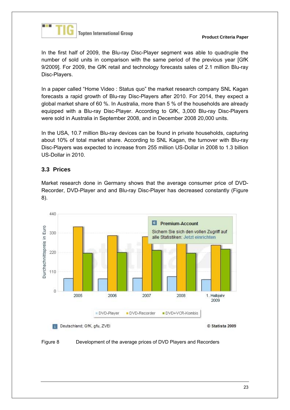

In the first half of 2009, the Blu-ray Disc-Player segment was able to quadruple the number of sold units in comparison with the same period of the previous year [GfK 9/2009]. For 2009, the GfK retail and technology forecasts sales of 2.1 million Blu-ray Disc-Players.

In a paper called "Home Video : Status quo" the market research company SNL Kagan forecasts a rapid growth of Blu-ray Disc-Players after 2010. For 2014, they expect a global market share of 60 %. In Australia, more than 5 % of the households are already equipped with a Blu-ray Disc-Player. According to GfK, 3,000 Blu-ray Disc-Players were sold in Australia in September 2008, and in December 2008 20,000 units.

In the USA, 10.7 million Blu-ray devices can be found in private households, capturing about 10% of total market share. According to SNL Kagan, the turnover with Blu-ray Disc-Players was expected to increase from 255 million US-Dollar in 2008 to 1.3 billion US-Dollar in 2010.

### **3.3 Prices**

Market research done in Germany shows that the average consumer price of DVD-Recorder, DVD-Player and and Blu-ray Disc-Player has decreased constantly (Figure 8).



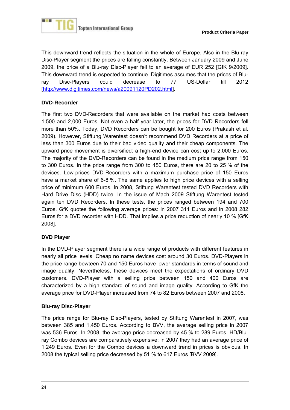

This downward trend reflects the situation in the whole of Europe. Also in the Blu-ray Disc-Player segment the prices are falling constantly. Between January 2009 and June 2009, the price of a Blu-ray Disc-Player fell to an average of EUR 252 [GfK 9/2009]. This downward trend is espected to continue. Digitimes assumes that the prices of Bluray Disc-Players could decrease to 77 US-Dollar till 2012 [http://www.digitimes.com/news/a20091120PD202.html].

#### **DVD-Recorder**

The first two DVD-Recorders that were available on the market had costs between 1,500 and 2,000 Euros. Not even a half year later, the prices for DVD Recorders fell more than 50%. Today, DVD Recorders can be bought for 200 Euros (Prakash et al. 2009). However, Stiftung Warentest doesn't recommend DVD Recorders at a price of less than 300 Euros due to their bad video quality and their cheap components. The upward price movement is diversified: a high-end device can cost up to 2,000 Euros. The majority of the DVD-Recorders can be found in the medium price range from 150 to 300 Euros. In the price range from 300 to 450 Euros, there are 20 to 25 % of the devices. Low-prices DVD-Recorders with a maximum purchase price of 150 Euros have a market share of 6-8 %. The same applies to high price devices with a selling price of minimum 600 Euros. In 2008, Stiftung Warentest tested DVD Recorders with Hard Drive Disc (HDD) twice. In the issue of Mach 2009 Stiftung Warentest tested again ten DVD Recorders. In these tests, the prices ranged between 194 and 700 Euros. GfK quotes the following average prices: in 2007 311 Euros and in 2008 282 Euros for a DVD recorder with HDD. That implies a price reduction of nearly 10 % [GfK 2008].

#### **DVD Player**

In the DVD-Player segment there is a wide range of products with different features in nearly all price levels. Cheap no name devices cost around 30 Euros. DVD-Players in the price range bewteen 70 and 150 Euros have lower standards in terms of sound and image quality. Nevertheless, these devices meet the expectations of ordinary DVD customers. DVD-Player with a selling price between 150 and 400 Euros are characterized by a high standard of sound and image quality. According to GfK the average price for DVD-Player increased from 74 to 82 Euros between 2007 and 2008.

#### **Blu-ray Disc-Player**

The price range for Blu-ray Disc-Players, tested by Stiftung Warentest in 2007, was between 385 and 1,450 Euros. According to BVV, the average selling price in 2007 was 536 Euros. In 2008, the average price decreased by 45 % to 289 Euros. HD/Bluray Combo devices are comparatively expensive: in 2007 they had an average price of 1,249 Euros. Even for the Combo devices a downward trend in prices is obvious. In 2008 the typical selling price decreased by 51 % to 617 Euros [BVV 2009].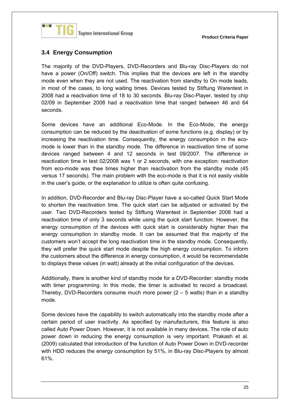

#### **3.4 Energy Consumption**

The majority of the DVD-Players, DVD-Recorders and Blu-ray Disc-Players do not have a power (On/Off) switch. This implies that the devices are left in the standby mode even when they are not used. The reactivation from standby to On mode leads, in most of the cases, to long waiting times. Devices tested by Stiftung Warentest in 2008 had a reactivation time of 18 to 30 seconds. Blu-ray Disc-Player, tested by chip 02/09 in September 2008 had a reactivation time that ranged between 46 and 64 seconds.

Some devices have an additional Eco-Mode. In the Eco-Mode, the energy consumption can be reduced by the deactivation of some functions (e.g. display) or by increasing the reactivation time. Consequently, the energy consumption in the ecomode is lower than in the standby mode. The difference in reactivation time of some devices ranged between 4 and 12 seconds in test 09/2007. The difference in reactivation time in test 02/2008 was 1 or 2 seconds, with one exception: reactivation from eco-mode was thee times higher than reactivation from the standby mode (45 versus 17 seconds). The main problem with the eco-mode is that it is not easily visible in the user's guide, or the explanation to utilize is often quite confusing.

In addition, DVD-Recorder and Blu-ray Disc-Player have a so-called Quick Start Mode to shorten the reactivation time. The quick start can be adjusted or activated by the user. Two DVD-Recorders tested by Stiftung Warentest in September 2008 had a reactivation time of only 3 seconds while using the quick start function. However, the energy consumption of the devices with quick start is considerably higher than the energy consumption in standby mode. It can be assumed that the majority of the customers won't accept the long reactivation time in the standby mode. Consequently, they will prefer the quick start mode despite the high energy consumption. To inform the customers about the difference in energy consumption, it would be recommendable to displays these values (in watt) already at the initial configuration of the devices.

Additionally, there is another kind of standby mode for a DVD-Recorder: standby mode with timer programming. In this mode, the timer is activated to record a broadcast. Thereby, DVD-Recorders consume much more power  $(2 - 5$  watts) than in a standby mode.

Some devices have the capability to switch automatically into the standby mode after a certain period of user inactivity. As specified by manufacturers, this feature is also called Auto Power Down. However, it is not available in many devices. The role of auto power down in reducing the energy consumption is very important. Prakash et al. (2009) calculated that introduction of the function of Auto Power Down in DVD-recorder with HDD reduces the energy consumption by 51%, in Blu-ray Disc-Players by almost 61%.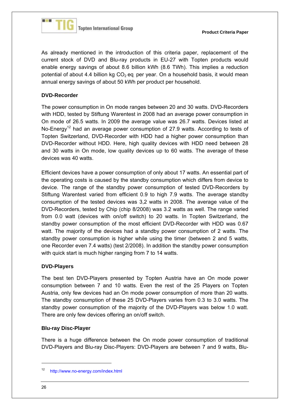

As already mentioned in the introduction of this criteria paper, replacement of the current stock of DVD and Blu-ray products in EU-27 with Topten products would enable energy savings of about 8.6 billion kWh (8.6 TWh). This implies a reduction potential of about 4.4 billion kg  $CO<sub>2</sub>$  eq. per year. On a household basis, it would mean annual energy savings of about 50 kWh per product per household.

#### **DVD-Recorder**

The power consumption in On mode ranges between 20 and 30 watts. DVD-Recorders with HDD, tested by Stiftung Warentest in 2008 had an average power consumption in On mode of 26.5 watts. In 2009 the average value was 26.7 watts. Devices listed at No-Energy<sup>12</sup> had an average power consumption of 27.9 watts. According to tests of Topten Switzerland, DVD-Recorder with HDD had a higher power consumption than DVD-Recorder without HDD. Here, high quality devices with HDD need between 28 and 30 watts in On mode, low quality devices up to 60 watts. The average of these devices was 40 watts.

Efficient devices have a power consumption of only about 17 watts. An essential part of the operating costs is caused by the standby consumption which differs from device to device. The range of the standby power consumption of tested DVD-Recorders by Stiftung Warentest varied from efficient 0.9 to high 7.9 watts. The average standby consumption of the tested devices was 3,2 watts in 2008. The average value of the DVD-Recorders, tested by Chip (chip 8/2008) was 3.2 watts as well. The range varied from 0.0 watt (devices with on/off switch) to 20 watts. In Topten Switzerland, the standby power consumption of the most efficient DVD-Recorder with HDD was 0.67 watt. The majority of the devices had a standby power consumption of 2 watts. The standby power consumption is higher while using the timer (between 2 and 5 watts, one Recorder even 7.4 watts) (test 2/2008). In addition the standby power consumption with quick start is much higher ranging from 7 to 14 watts.

#### **DVD-Players**

The best ten DVD-Players presented by Topten Austria have an On mode power consumption between 7 and 10 watts. Even the rest of the 25 Players on Topten Austria, only few devices had an On mode power consumption of more than 20 watts. The standby consumption of these 25 DVD-Players varies from 0.3 to 3.0 watts. The standby power consumption of the majority of the DVD-Players was below 1.0 watt. There are only few devices offering an on/off switch.

#### **Blu-ray Disc-Player**

There is a huge difference between the On mode power consumption of traditional DVD-Players and Blu-ray Disc-Players: DVD-Players are between 7 and 9 watts, Blu-

1

<sup>12</sup> http://www.no-energy.com/index.html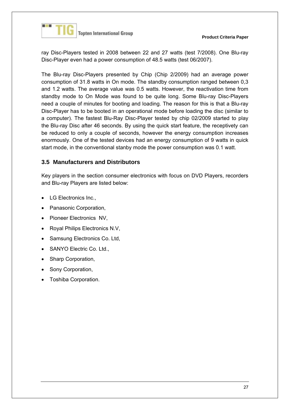

ray Disc-Players tested in 2008 between 22 and 27 watts (test 7/2008). One Blu-ray Disc-Player even had a power consumption of 48.5 watts (test 06/2007).

The Blu-ray Disc-Players presented by Chip (Chip 2/2009) had an average power consumption of 31.8 watts in On mode. The standby consumption ranged between 0,3 and 1.2 watts. The average value was 0.5 watts. However, the reactivation time from standby mode to On Mode was found to be quite long. Some Blu-ray Disc-Players need a couple of minutes for booting and loading. The reason for this is that a Blu-ray Disc-Player has to be booted in an operational mode before loading the disc (similar to a computer). The fastest Blu-Ray Disc-Player tested by chip 02/2009 started to play the Blu-ray Disc after 46 seconds. By using the quick start feature, the receptivety can be reduced to only a couple of seconds, however the energy consumption increases enormously. One of the tested devices had an energy consumption of 9 watts in quick start mode, in the conventional stanby mode the power consumption was 0.1 watt.

#### **3.5 Manufacturers and Distributors**

Key players in the section consumer electronics with focus on DVD Players, recorders and Blu-ray Players are listed below:

- LG Electronics Inc.,
- Panasonic Corporation,
- Pioneer Electronics NV,
- Royal Philips Electronics N.V,
- Samsung Electronics Co. Ltd,
- SANYO Electric Co. Ltd.,
- Sharp Corporation,
- Sony Corporation,
- Toshiba Corporation.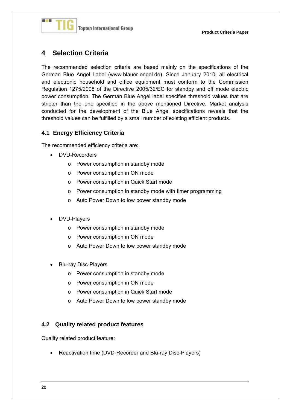

### **4 Selection Criteria**

The recommended selection criteria are based mainly on the specifications of the German Blue Angel Label (www.blauer-engel.de). Since January 2010, all electrical and electronic household and office equipment must conform to the Commission Regulation 1275/2008 of the Directive 2005/32/EC for standby and off mode electric power consumption. The German Blue Angel label specifies threshold values that are stricter than the one specified in the above mentioned Directive. Market analysis conducted for the development of the Blue Angel specifications reveals that the threshold values can be fulfilled by a small number of existing efficient products.

#### **4.1 Energy Efficiency Criteria**

The recommended efficiency criteria are:

- DVD-Recorders
	- o Power consumption in standby mode
	- o Power consumption in ON mode
	- o Power consumption in Quick Start mode
	- o Power consumption in standby mode with timer programming
	- o Auto Power Down to low power standby mode
- DVD-Players
	- o Power consumption in standby mode
	- o Power consumption in ON mode
	- o Auto Power Down to low power standby mode
- Blu-ray Disc-Players
	- o Power consumption in standby mode
	- o Power consumption in ON mode
	- o Power consumption in Quick Start mode
	- o Auto Power Down to low power standby mode

#### **4.2 Quality related product features**

Quality related product feature:

• Reactivation time (DVD-Recorder and Blu-ray Disc-Players)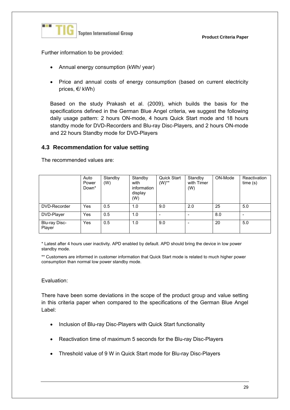

**Product Criteria Paper**

Further information to be provided:

- Annual energy consumption (kWh/ year)
- Price and annual costs of energy consumption (based on current electricity prices, €/ kWh)

Based on the study Prakash et al. (2009), which builds the basis for the specifications defined in the German Blue Angel criteria, we suggest the following daily usage pattern: 2 hours ON-mode, 4 hours Quick Start mode and 18 hours standby mode for DVD-Recorders and Blu-ray Disc-Players, and 2 hours ON-mode and 22 hours Standby mode for DVD-Players

#### **4.3 Recommendation for value setting**

The recommended values are:

|                         | Auto<br>Power<br>Down* | Standby<br>(W) | Standby<br>with<br>information<br>display<br>(W) | Quick Start<br>$(W)$ ** | Standby<br>with Timer<br>(W) | ON-Mode | Reactivation<br>time(s) |
|-------------------------|------------------------|----------------|--------------------------------------------------|-------------------------|------------------------------|---------|-------------------------|
| DVD-Recorder            | Yes                    | 0.5            | 1.0                                              | 9.0                     | 2.0                          | 25      | 5.0                     |
| DVD-Player              | <b>Yes</b>             | 0.5            | 1.0                                              |                         |                              | 8.0     |                         |
| Blu-ray Disc-<br>Player | <b>Yes</b>             | 0.5            | 1.0                                              | 9.0                     | -                            | 20      | 5.0                     |

\* Latest after 4 hours user inactivity. APD enabled by default. APD should bring the device in low power standby mode.

\*\* Customers are informed in customer information that Quick Start mode is related to much higher power consumption than normal low power standby mode.

#### Evaluation:

There have been some deviations in the scope of the product group and value setting in this criteria paper when compared to the specifications of the German Blue Angel Label:

- Inclusion of Blu-ray Disc-Players with Quick Start functionality
- Reactivation time of maximum 5 seconds for the Blu-ray Disc-Players
- Threshold value of 9 W in Quick Start mode for Blu-ray Disc-Players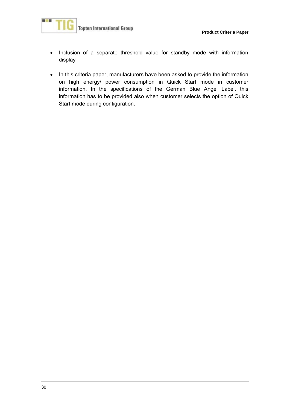

- Inclusion of a separate threshold value for standby mode with information display
- In this criteria paper, manufacturers have been asked to provide the information on high energy/ power consumption in Quick Start mode in customer information. In the specifications of the German Blue Angel Label, this information has to be provided also when customer selects the option of Quick Start mode during configuration.